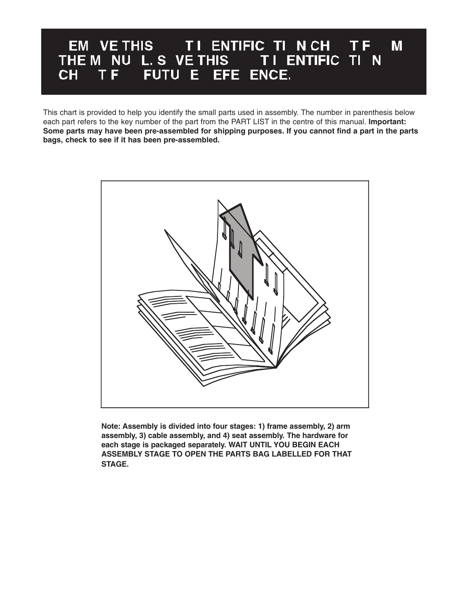## EM VE THIS TI ENTIFIC TI NCH TF M THE M NU L.S VE THIS<br>THE M NU L.S VE THIS TI ENTIFIC TI N<br>CH TF FUTU E EFE ENCE.

This chart is provided to help you identify the small parts used in assembly. The number in parenthesis below each part refers to the key number of the part from the PART LIST in the centre of this manual. **Important: Some parts may have been pre-assembled for shipping purposes. If you cannot find a part in the parts bags, check to see if it has been pre-assembled.**



**Note: Assembly is divided into four stages: 1) frame assembly, 2) arm assembly, 3) cable assembly, and 4) seat assembly. The hardware for each stage is packaged separately. WAIT UNTIL YOU BEGIN EACH ASSEMBLY STAGE TO OPEN THE PARTS BAG LABELLED FOR THAT STAGE.**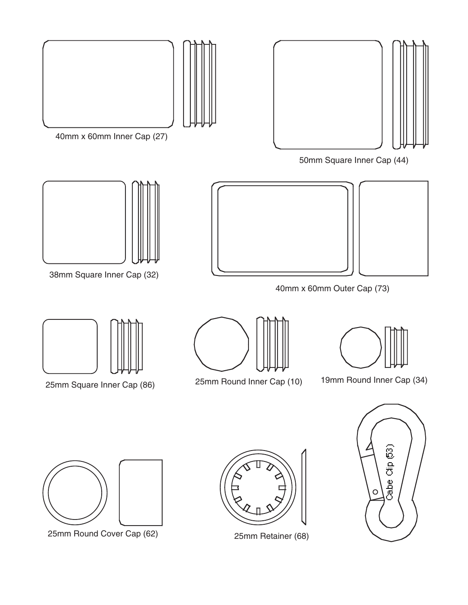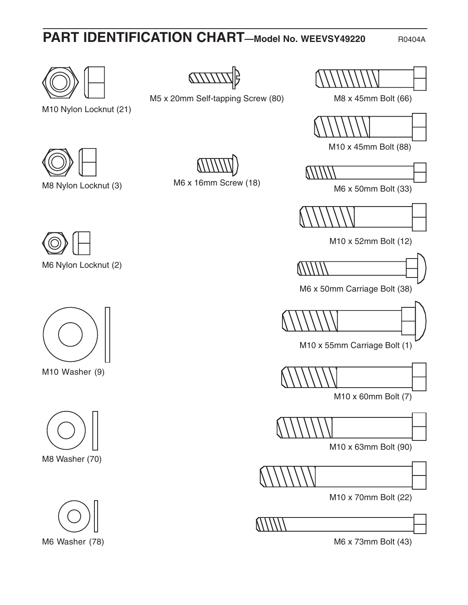# **PART IDENTIFICATION CHART—Model No. WEEVSY49220** R0404A

M8 x 45mm Bolt (66)

M10 x 45mm Bolt (88)



M6 x 50mm Bolt (33)



M10 x 52mm Bolt (12)



M6 x 50mm Carriage Bolt (38)

M10 x 55mm Carriage Bolt (1)



M10 x 60mm Bolt (7)

M10 x 63mm Bolt (90)

M10 x 70mm Bolt (22)



M6 x 73mm Bolt (43)



M5 x 20mm Self-tapping Screw (80)



M10 Nylon Locknut (21)



M8 Nylon Locknut (3)





M10 Washer (9)







M6 x 16mm Screw (18)



M6 Nylon Locknut (2)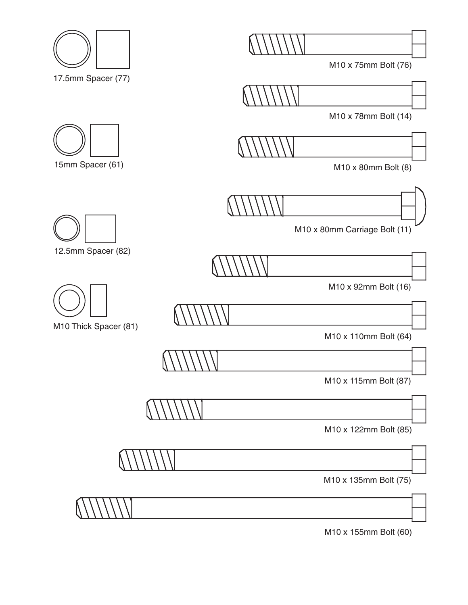M10 x 75mm Bolt (76)



M10 x 78mm Bolt (14)



M10 x 80mm Bolt (8)



M10 x 80mm Carriage Bolt (11)



M10 x 92mm Bolt (16)



M10 x 110mm Bolt (64)



M10 x 115mm Bolt (87)

M10 x 122mm Bolt (85)

M10 x 135mm Bolt (75)

M10 x 155mm Bolt (60)









M10 Thick Spacer (81)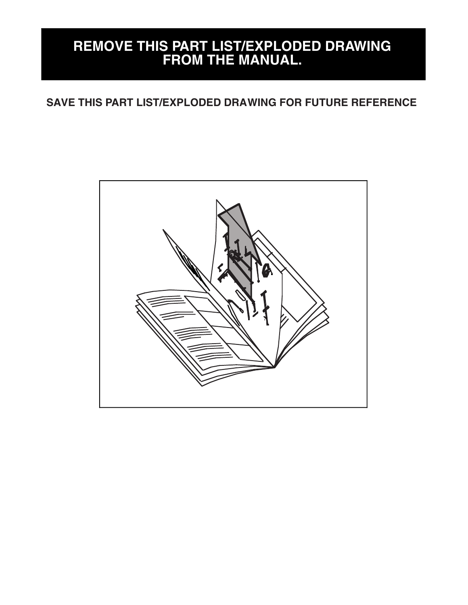### **REMOVE THIS PART LIST/EXPLODED DRAWING FROM THE MANUAL.**

#### **SAVE THIS PART LIST/EXPLODED DRAWING FOR FUTURE REFERENCE**

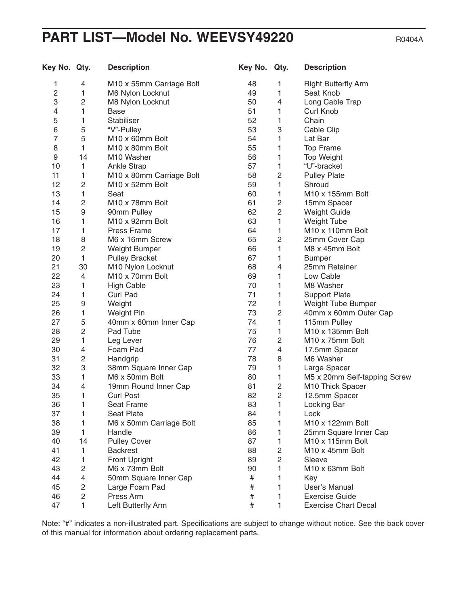#### **PART LIST—Model No. WEEVSY49220** R0404A

Key No. Qty. Description **Manual Company Rey No. Qty. Description** 1 4 M10 x 55mm Carriage Bolt 2 1 M6 Nylon Locknut 3 2 M8 Nylon Locknut 4 1 Base 5 1 Stabiliser 6 5 "V"-Pulley 7 5 M10 x 60mm Bolt 8 1 M10 x 80mm Bolt 9 14 M10 Washer 10 1 Ankle Strap 11 1 M10 x 80mm Carriage Bolt 12 2 M10 x 52mm Bolt 13 1 Seat 14 2 M10 x 78mm Bolt 15 9 90mm Pulley 16 1 M10 x 92mm Bolt 17 1 Press Frame 18 8 M6 x 16mm Screw 19 2 Weight Bumper 20 1 Pulley Bracket 21 30 M10 Nylon Locknut 22 4 M10 x 70mm Bolt 23 1 High Cable 24 1 Curl Pad 25 9 Weight 26 1 Weight Pin 27 5 40mm x 60mm Inner Cap 28 2 Pad Tube 29 1 Leg Lever 30 4 Foam Pad 31 2 Handgrip 32 3 38mm Square Inner Cap 33 1 M6 x 50mm Bolt 34 4 19mm Round Inner Cap 35 1 Curl Post 36 1 Seat Frame 37 1 Seat Plate 38 1 M6 x 50mm Carriage Bolt 39 1 Handle 40 14 Pulley Cover 41 1 Backrest 42 1 Front Upright 43 2 M6 x 73mm Bolt 44 4 50mm Square Inner Cap 45 2 Large Foam Pad 46 2 Press Arm 47 1 Left Butterfly Arm 48 1 Right Butterfly Arm 49 1 Seat Knob 50 4 Long Cable Trap 51 1 Curl Knob 52 1 Chain 53 3 Cable Clip 54 1 Lat Bar 55 1 Top Frame 56 1 Top Weight 57 1 "U"-bracket 58 2 Pulley Plate 59 1 Shroud 60 1 M10 x 155mm Bolt 61 2 15mm Spacer 62 2 Weight Guide 63 1 Weight Tube 64 1 M10 x 110mm Bolt 65 2 25mm Cover Cap 66 1 M8 x 45mm Bolt 67 1 Bumper 68 4 25mm Retainer 69 1 Low Cable 70 1 M8 Washer 71 1 Support Plate 72 1 Weight Tube Bumper 73 2 40mm x 60mm Outer Cap 74 1 115mm Pullev 75 1 M10 x 135mm Bolt 76 2 M10 x 75mm Bolt 77 4 17.5mm Spacer 78 8 M6 Washer 79 1 Large Spacer 80 1 M5 x 20mm Self-tapping Screw 81 2 M10 Thick Spacer 82 2 12.5mm Spacer 83 1 Locking Bar 84 1 Lock 85 1 M10 x 122mm Bolt 86 1 25mm Square Inner Cap 87 1 M10 x 115mm Bolt 88 2 M10 x 45mm Bolt 89 2 Sleeve 90 1 M10 x 63mm Bolt # 1 Key # 1 User's Manual # 1 Exercise Guide # 1 Exercise Chart Decal

Note: "#" indicates a non-illustrated part. Specifications are subject to change without notice. See the back cover of this manual for information about ordering replacement parts.